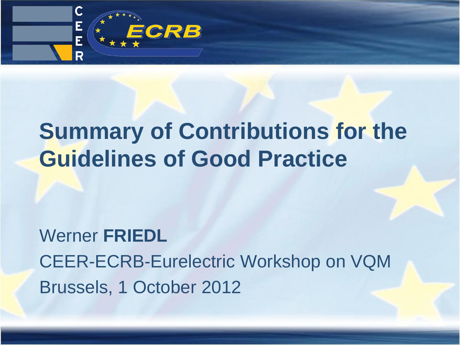

### **Summary of Contributions for the Guidelines of Good Practice**

Werner **FRIEDL** CEER-ECRB-Eurelectric Workshop on VQM Brussels, 1 October 2012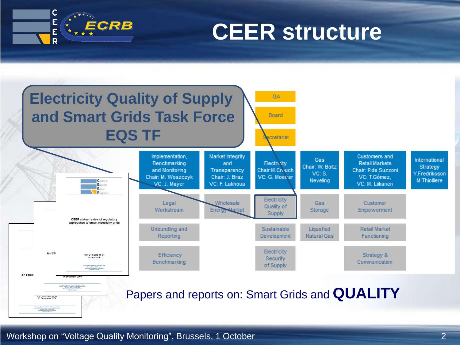

### **CEER structure**



Workshop on "Voltage Quality Monitoring", Brussels, 1 October 2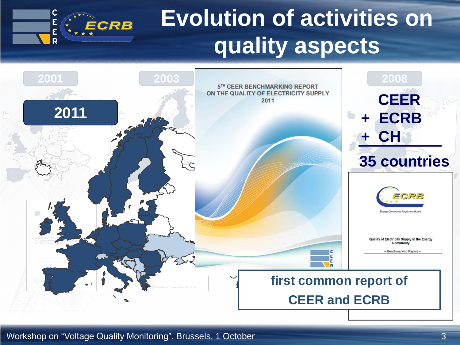# **Evolution of activities on quality aspects**



Workshop on "Voltage Quality Monitoring", Brussels, 1 October 3

E

Ē R ECRB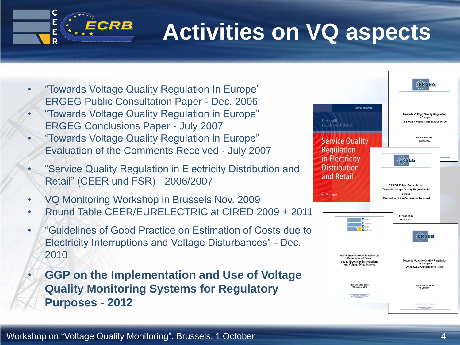

# **Activities on VQ aspects**

- "Towards Voltage Quality Regulation In Europe" ERGEG Public Consultation Paper - Dec. 2006
- "Towards Voltage Quality Regulation in Europe" ERGEG Conclusions Paper - July 2007
- "Towards Voltage Quality Regulation in Europe" Evaluation of the Comments Received - July 2007
- "Service Quality Regulation in Electricity Distribution and Retail" (CEER und FSR) - 2006/2007
- VQ Monitoring Workshop in Brussels Nov. 2009
- Round Table CEER/EURELECTRIC at CIRED 2009 + 2011
- "Guidelines of Good Practice on Estimation of Costs due to Electricity Interruptions and Voltage Disturbances" - Dec. 2010
- **GGP on the Implementation and Use of Voltage Quality Monitoring Systems for Regulatory Purposes - 2012**

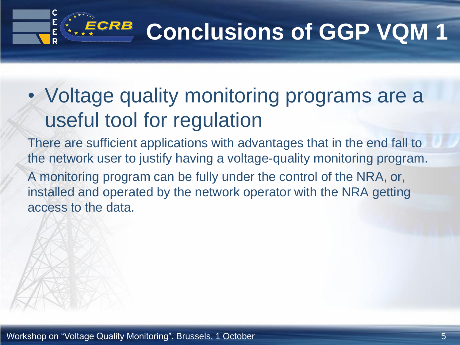# $E^{CRB}$  Conclusions of GGP VQM 1

### • Voltage quality monitoring programs are a useful tool for regulation

There are sufficient applications with advantages that in the end fall to the network user to justify having a voltage-quality monitoring program. A monitoring program can be fully under the control of the NRA, or, installed and operated by the network operator with the NRA getting access to the data.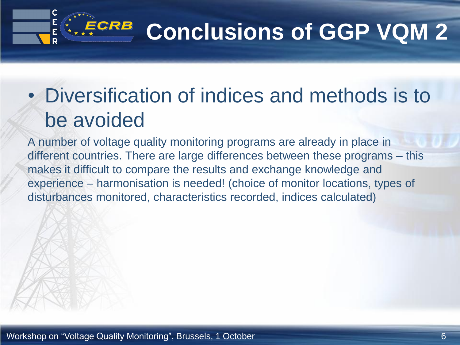# $E^{CRB}$  Conclusions of GGP VQM 2

### • Diversification of indices and methods is to be avoided

A number of voltage quality monitoring programs are already in place in different countries. There are large differences between these programs – this makes it difficult to compare the results and exchange knowledge and experience – harmonisation is needed! (choice of monitor locations, types of disturbances monitored, characteristics recorded, indices calculated)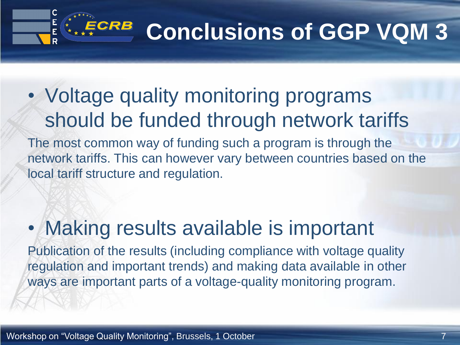# $E^{CRB}$  Conclusions of GGP VQM 3

### • Voltage quality monitoring programs should be funded through network tariffs

The most common way of funding such a program is through the network tariffs. This can however vary between countries based on the local tariff structure and regulation.

#### • Making results available is important

Publication of the results (including compliance with voltage quality regulation and important trends) and making data available in other ways are important parts of a voltage-quality monitoring program.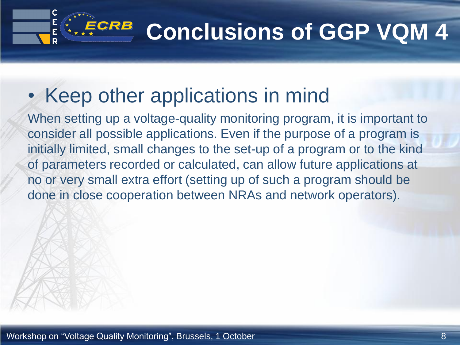#### **Conclusions of GGP VQM 4** ECRB

### • Keep other applications in mind

When setting up a voltage-quality monitoring program, it is important to consider all possible applications. Even if the purpose of a program is initially limited, small changes to the set-up of a program or to the kind of parameters recorded or calculated, can allow future applications at no or very small extra effort (setting up of such a program should be done in close cooperation between NRAs and network operators).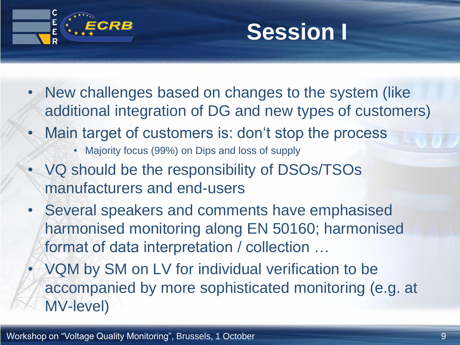



- New challenges based on changes to the system (like additional integration of DG and new types of customers)
- Main target of customers is: don't stop the process
	- Majority focus (99%) on Dips and loss of supply
- VQ should be the responsibility of DSOs/TSOs manufacturers and end-users
- Several speakers and comments have emphasised harmonised monitoring along EN 50160; harmonised format of data interpretation / collection …
- VQM by SM on LV for individual verification to be accompanied by more sophisticated monitoring (e.g. at MV-level)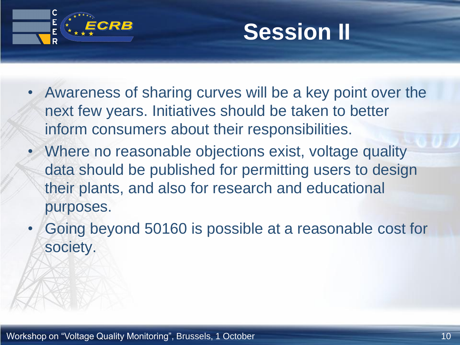



- Awareness of sharing curves will be a key point over the next few years. Initiatives should be taken to better inform consumers about their responsibilities.
- Where no reasonable objections exist, voltage quality data should be published for permitting users to design their plants, and also for research and educational purposes.
- Going beyond 50160 is possible at a reasonable cost for society.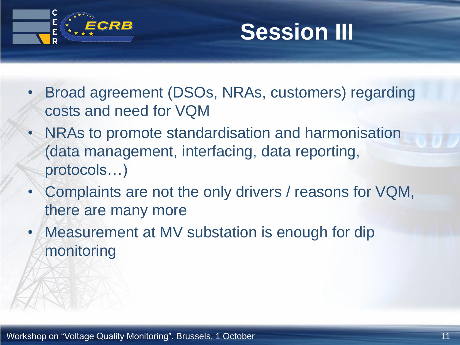

### **Session III**

- Broad agreement (DSOs, NRAs, customers) regarding costs and need for VQM
- NRAs to promote standardisation and harmonisation (data management, interfacing, data reporting, protocols…)
- Complaints are not the only drivers / reasons for VQM, there are many more
- Measurement at MV substation is enough for dip monitoring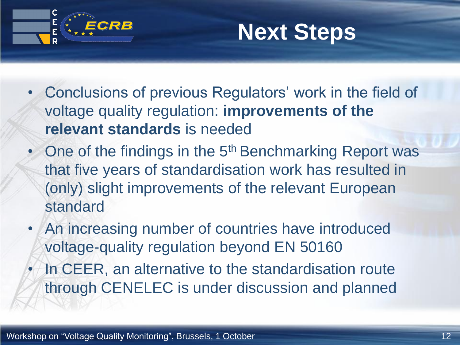



- Conclusions of previous Regulators' work in the field of voltage quality regulation: **improvements of the relevant standards** is needed
- One of the findings in the 5<sup>th</sup> Benchmarking Report was that five years of standardisation work has resulted in (only) slight improvements of the relevant European standard
- An increasing number of countries have introduced voltage-quality regulation beyond EN 50160
- In CEER, an alternative to the standardisation route through CENELEC is under discussion and planned